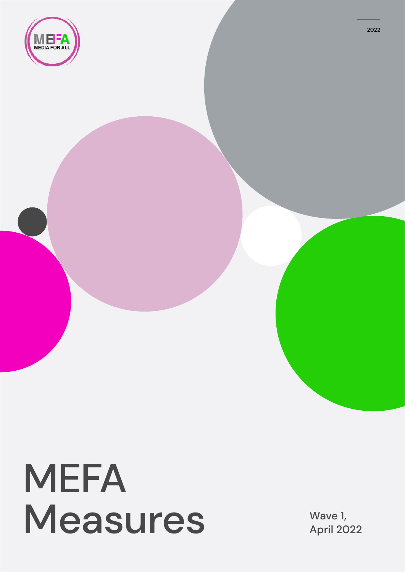

## MEFA Measures Wave 1,

April 2022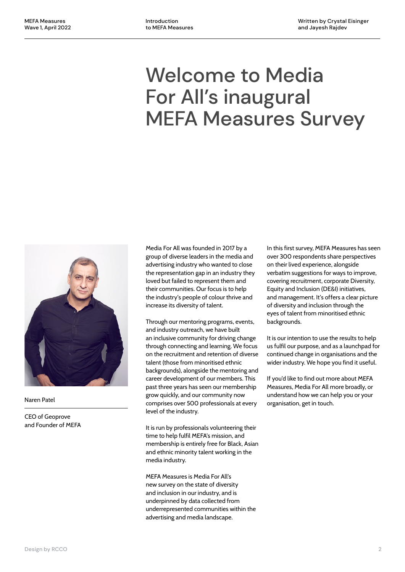## Welcome to Media For All's inaugural MEFA Measures Survey



Naren Patel

CEO of Geoprove and Founder of MEFA Media For All was founded in 2017 by a group of diverse leaders in the media and advertising industry who wanted to close the representation gap in an industry they loved but failed to represent them and their communities. Our focus is to help the industry's people of colour thrive and increase its diversity of talent.

Through our mentoring programs, events, and industry outreach, we have built an inclusive community for driving change through connecting and learning. We focus on the recruitment and retention of diverse talent (those from minoritised ethnic backgrounds), alongside the mentoring and career development of our members. This past three years has seen our membership grow quickly, and our community now comprises over 500 professionals at every level of the industry.

It is run by professionals volunteering their time to help fulfil MEFA's mission, and membership is entirely free for Black, Asian and ethnic minority talent working in the media industry.

MEFA Measures is Media For All's new survey on the state of diversity and inclusion in our industry, and is underpinned by data collected from underrepresented communities within the advertising and media landscape.

In this first survey, MEFA Measures has seen over 300 respondents share perspectives on their lived experience, alongside verbatim suggestions for ways to improve, covering recruitment, corporate Diversity, Equity and Inclusion (DE&I) initiatives, and management. It's offers a clear picture of diversity and inclusion through the eyes of talent from minoritised ethnic backgrounds.

It is our intention to use the results to help us fulfil our purpose, and as a launchpad for continued change in organisations and the wider industry. We hope you find it useful.

If you'd like to find out more about MEFA Measures, Media For All more broadly, or understand how we can help you or your organisation, get in touch.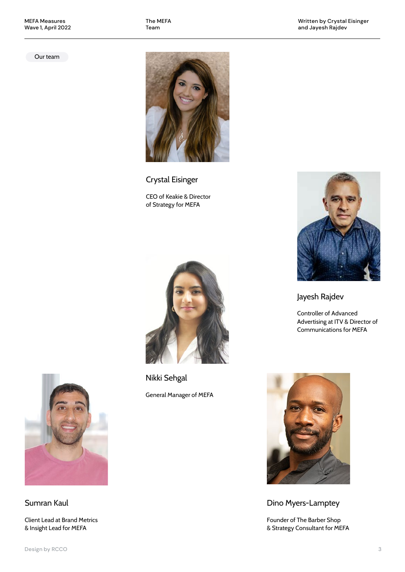The MEFA Team

Written by Crystal Eisinger and Jayesh Rajdev

Our team



Crystal Eisinger CEO of Keakie & Director of Strategy for MEFA



Nikki Sehgal General Manager of MEFA



Jayesh Rajdev

Controller of Advanced Advertising at ITV & Director of Communications for MEFA



Dino Myers-Lamptey

Founder of The Barber Shop & Strategy Consultant for MEFA



Sumran Kaul

Client Lead at Brand Metrics & Insight Lead for MEFA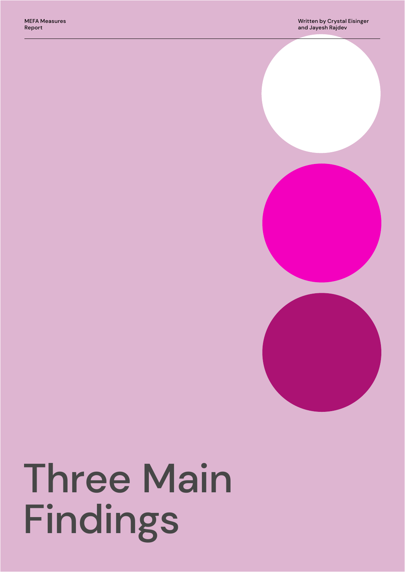# Three Main Findings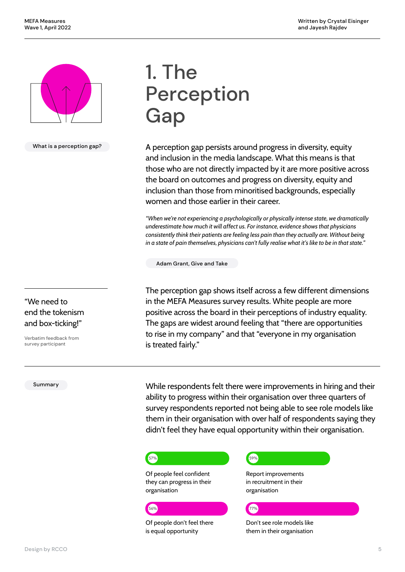

What is a perception gap?

"We need to end the tokenism and box-ticking!"

Verbatim feedback from survey participant

Summary

## 1. The Perception **Gap**

A perception gap persists around progress in diversity, equity and inclusion in the media landscape. What this means is that those who are not directly impacted by it are more positive across the board on outcomes and progress on diversity, equity and inclusion than those from minoritised backgrounds, especially women and those earlier in their career.

*"When we're not experiencing a psychologically or physically intense state, we dramatically underestimate how much it will affect us. For instance, evidence shows that physicians consistently think their patients are feeling less pain than they actually are. Without being in a state of pain themselves, physicians can't fully realise what it's like to be in that state."*

Adam Grant, Give and Take

The perception gap shows itself across a few different dimensions in the MEFA Measures survey results. White people are more positive across the board in their perceptions of industry equality. The gaps are widest around feeling that "there are opportunities to rise in my company" and that "everyone in my organisation is treated fairly."

While respondents felt there were improvements in hiring and their ability to progress within their organisation over three quarters of survey respondents reported not being able to see role models like them in their organisation with over half of respondents saying they didn't feel they have equal opportunity within their organisation.

## <mark>57%)</mark> последните село на село на село на село на село на село на село на село на село на село на село на село

Of people feel confident they can progress in their organisation

#### 56% <mark>г.</mark> 77% до населението на селото на селото на селото на селото на селото на селото на селото на селото на

Of people don't feel there is equal opportunity

Report improvements in recruitment in their organisation

#### Don't see role models like them in their organisation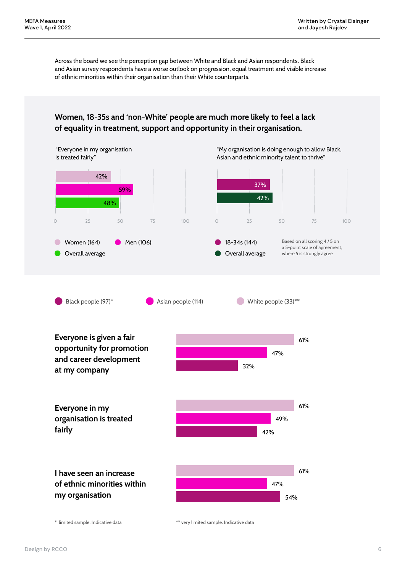Across the board we see the perception gap between White and Black and Asian respondents. Black and Asian survey respondents have a worse outlook on progression, equal treatment and visible increase of ethnic minorities within their organisation than their White counterparts.

#### **Women, 18-35s and 'non-White' people are much more likely to feel a lack of equality in treatment, support and opportunity in their organisation.**

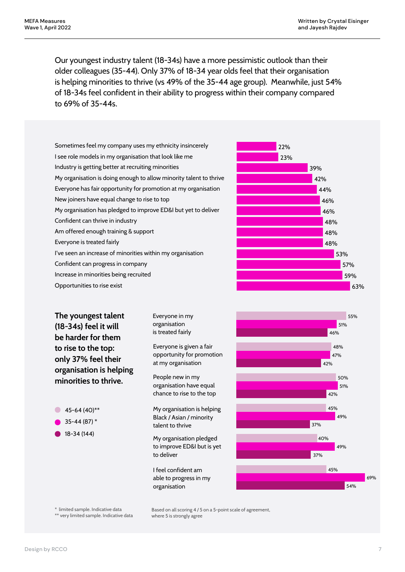Our youngest industry talent (18-34s) have a more pessimistic outlook than their older colleagues (35-44). Only 37% of 18-34 year olds feel that their organisation is helping minorities to thrive (vs 49% of the 35-44 age group). Meanwhile, just 54% of 18-34s feel confident in their ability to progress within their company compared to 69% of 35-44s.

| The youngest talent<br>(18-34s) feel it will                                                                                                                                                                                                                                                                                                                          | Everyone in my<br>organisation<br>is treated fairly | 55%<br>51%<br>46%                                                  |                                                                |     |
|-----------------------------------------------------------------------------------------------------------------------------------------------------------------------------------------------------------------------------------------------------------------------------------------------------------------------------------------------------------------------|-----------------------------------------------------|--------------------------------------------------------------------|----------------------------------------------------------------|-----|
| Opportunities to rise exist                                                                                                                                                                                                                                                                                                                                           |                                                     | 63%                                                                |                                                                |     |
| New joiners have equal change to rise to top<br>My organisation has pledged to improve ED&I but yet to deliver<br>Confident can thrive in industry<br>Am offered enough training & support<br>Everyone is treated fairly<br>I've seen an increase of minorities within my organisation<br>Confident can progress in company<br>Increase in minorities being recruited |                                                     | 48%<br>48%<br>53%<br>57%<br>59%                                    |                                                                |     |
|                                                                                                                                                                                                                                                                                                                                                                       |                                                     |                                                                    | 48%                                                            |     |
|                                                                                                                                                                                                                                                                                                                                                                       |                                                     |                                                                    | 46%                                                            |     |
|                                                                                                                                                                                                                                                                                                                                                                       |                                                     |                                                                    | 46%                                                            |     |
|                                                                                                                                                                                                                                                                                                                                                                       |                                                     |                                                                    | Everyone has fair opportunity for promotion at my organisation |     |
|                                                                                                                                                                                                                                                                                                                                                                       |                                                     | My organisation is doing enough to allow minority talent to thrive |                                                                | 42% |
|                                                                                                                                                                                                                                                                                                                                                                       |                                                     | Industry is getting better at recruiting minorities                |                                                                | 39% |
|                                                                                                                                                                                                                                                                                                                                                                       |                                                     | I see role models in my organisation that look like me             |                                                                | 23% |
| Sometimes feel my company uses my ethnicity insincerely                                                                                                                                                                                                                                                                                                               |                                                     | 22%                                                                |                                                                |     |

Everyone is given a fair opportunity for promotion at my organisation

People new in my organisation have equal chance to rise to the top

 $\bullet$  45-64 (40)\*\*

**to rise to the top: only 37% feel their organisation is helping minorities to thrive.**

- 35-44 (87) \*
- 18-34 (144)

My organisation is helping Black / Asian / minority talent to thrive

My organisation pledged to improve ED&I but is yet to deliver

I feel confident am able to progress in my organisation



\* limited sample. Indicative data

\*\* very limited sample. Indicative data

Based on all scoring 4 / 5 on a 5-point scale of agreement, where 5 is strongly agree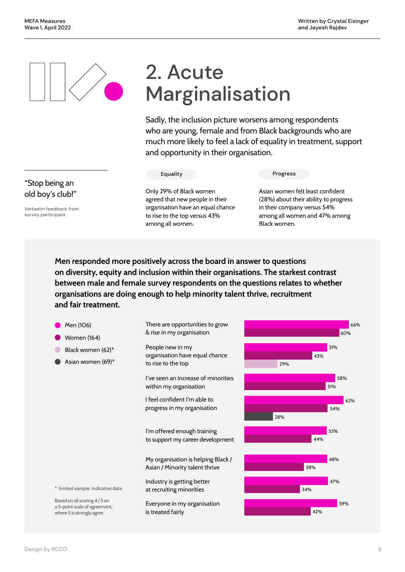## 2. Acute Marginalisation

Sadly, the inclusion picture worsens among respondents who are young, female and from Black backgrounds who are much more likely to feel a lack of equality in treatment, support and opportunity in their organisation.

among all women.

Only 29% of Black women agreed that new people in their organisation have an equal chance to rise to the top versus 43%

Equality Progress

Asian women felt least confident (28%) about their ability to progress in their company versus 54% among all women and 47% among Black women.

**Men responded more positively across the board in answer to questions on diversity, equity and inclusion within their organisations. The starkest contrast between male and female survey respondents on the questions relates to whether organisations are doing enough to help minority talent thrive, recruitment and fair treatment.** 



#### "Stop being an old boy's club!"

Verbatim feedback from survey participant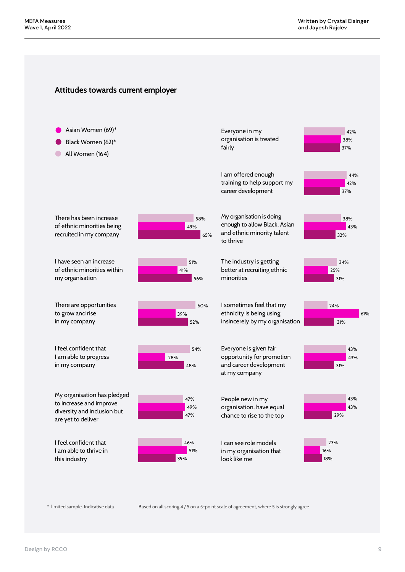#### **Attitudes towards current employer**



\* limited sample. Indicative data Based on all scoring 4 / 5 on a 5-point scale of agreement, where 5 is strongly agree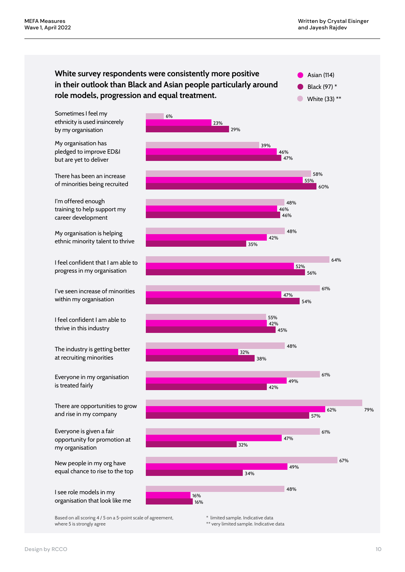#### **White survey respondents were consistently more positive in their outlook than Black and Asian people particularly around role models, progression and equal treatment.**

Asian (114) Black (97) \*

 $\bullet$ 

White (33) \*\*

Sometimes I feel my ethnicity is used insincerely by my organisation

My organisation has pledged to improve ED&I but are yet to deliver

There has been an increase of minorities being recruited

I'm offered enough training to help support my career development

My organisation is helping ethnic minority talent to thrive

I feel confident that I am able to progress in my organisation

I've seen increase of minorities within my organisation

I feel confident I am able to thrive in this industry

The industry is getting better at recruiting minorities

Everyone in my organisation is treated fairly

There are opportunities to grow and rise in my company

Everyone is given a fair opportunity for promotion at my organisation

New people in my org have equal chance to rise to the top

I see role models in my organisation that look like me

Based on all scoring 4 / 5 on a 5-point scale of agreement, where 5 is strongly agree



\*\* very limited sample. Indicative data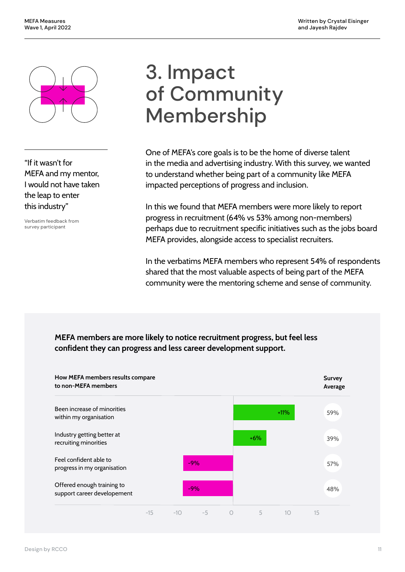

"If it wasn't for MEFA and my mentor, I would not have taken the leap to enter this industry"

Verbatim feedback from survey participant

### 3. Impact of Community Membership

One of MEFA's core goals is to be the home of diverse talent in the media and advertising industry. With this survey, we wanted to understand whether being part of a community like MEFA impacted perceptions of progress and inclusion.

In this we found that MEFA members were more likely to report progress in recruitment (64% vs 53% among non-members) perhaps due to recruitment specific initiatives such as the jobs board MEFA provides, alongside access to specialist recruiters.

In the verbatims MEFA members who represent 54% of respondents shared that the most valuable aspects of being part of the MEFA community were the mentoring scheme and sense of community.

#### **MEFA members are more likely to notice recruitment progress, but feel less confident they can progress and less career development support.**

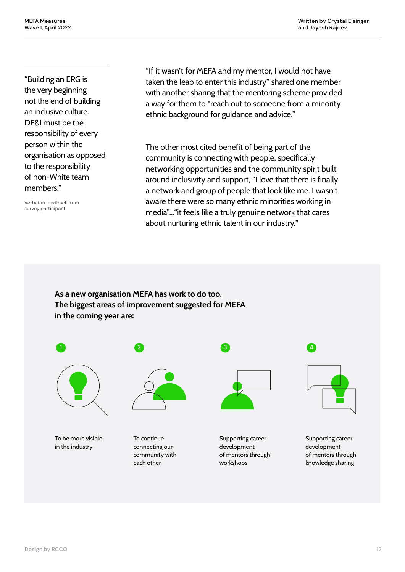"Building an ERG is the very beginning not the end of building an inclusive culture. DE&I must be the responsibility of every person within the organisation as opposed to the responsibility of non-White team members."

Verbatim feedback from survey participant

"If it wasn't for MEFA and my mentor, I would not have taken the leap to enter this industry" shared one member with another sharing that the mentoring scheme provided a way for them to "reach out to someone from a minority ethnic background for guidance and advice."

The other most cited benefit of being part of the community is connecting with people, specifically networking opportunities and the community spirit built around inclusivity and support, "I love that there is finally a network and group of people that look like me. I wasn't aware there were so many ethnic minorities working in media"..."it feels like a truly genuine network that cares about nurturing ethnic talent in our industry."

**As a new organisation MEFA has work to do too. The biggest areas of improvement suggested for MEFA in the coming year are:** 



To be more visible in the industry

To continue connecting our community with each other



Supporting career development of mentors through workshops



Supporting career development of mentors through knowledge sharing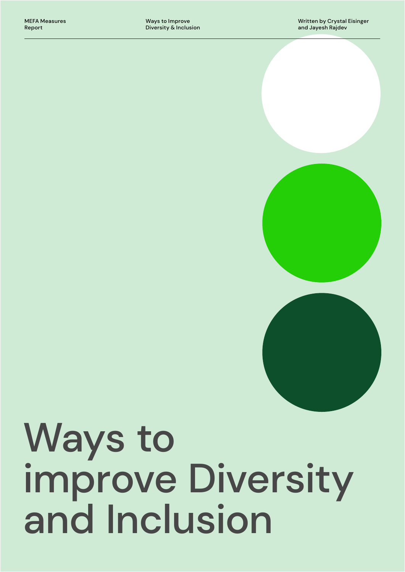

# Ways to improve Diversity and Inclusion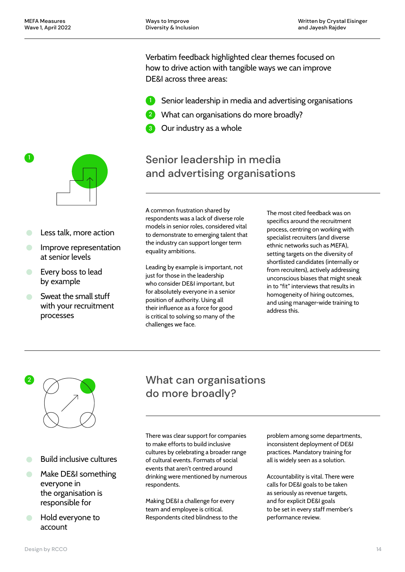Verbatim feedback highlighted clear themes focused on how to drive action with tangible ways we can improve DE&I across three areas:

- **D** Senior leadership in media and advertising organisations
- 2 What can organisations do more broadly?
- **3** Our industry as a whole

### Senior leadership in media and advertising organisations

A common frustration shared by respondents was a lack of diverse role models in senior roles, considered vital to demonstrate to emerging talent that the industry can support longer term equality ambitions.

Leading by example is important, not just for those in the leadership who consider DE&I important, but for absolutely everyone in a senior position of authority. Using all their influence as a force for good is critical to solving so many of the challenges we face.

The most cited feedback was on specifics around the recruitment process, centring on working with specialist recruiters (and diverse ethnic networks such as MEFA), setting targets on the diversity of shortlisted candidates (internally or from recruiters), actively addressing unconscious biases that might sneak in to "fit" interviews that results in homogeneity of hiring outcomes, and using manager-wide training to address this.



- Build inclusive cultures  $\bullet$
- Make DE&I something everyone in the organisation is responsible for
- Hold everyone to account

#### What can organisations do more broadly?

There was clear support for companies to make efforts to build inclusive cultures by celebrating a broader range of cultural events. Formats of social events that aren't centred around drinking were mentioned by numerous respondents.

Making DE&I a challenge for every team and employee is critical. Respondents cited blindness to the problem among some departments, inconsistent deployment of DE&I practices. Mandatory training for all is widely seen as a solution.

Accountability is vital. There were calls for DE&I goals to be taken as seriously as revenue targets, and for explicit DE&I goals to be set in every staff member's performance review.



Less talk, more action

at senior levels

by example

 $\Box$ 

processes

Every boss to lead

Sweat the small stuff with your recruitment

Improve representation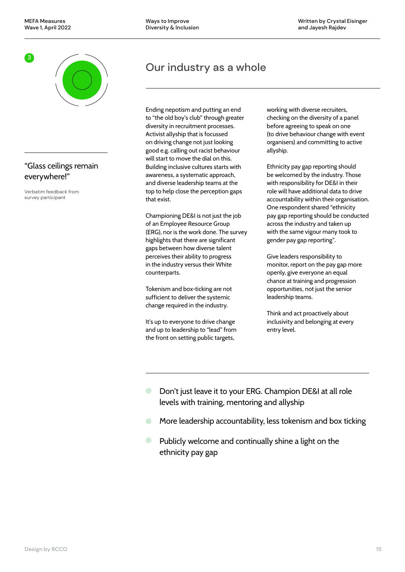

#### "Glass ceilings remain everywhere!"

Verbatim feedback from survey participant

### Our industry as a whole

Ending nepotism and putting an end to "the old boy's club" through greater diversity in recruitment processes. Activist allyship that is focussed on driving change not just looking good e.g. calling out racist behaviour will start to move the dial on this. Building inclusive cultures starts with awareness, a systematic approach, and diverse leadership teams at the top to help close the perception gaps that exist.

Championing DE&I is not just the job of an Employee Resource Group (ERG), nor is the work done. The survey highlights that there are significant gaps between how diverse talent perceives their ability to progress in the industry versus their White counterparts.

Tokenism and box-ticking are not sufficient to deliver the systemic change required in the industry.

It's up to everyone to drive change and up to leadership to "lead" from the front on setting public targets,

working with diverse recruiters, checking on the diversity of a panel before agreeing to speak on one (to drive behaviour change with event organisers) and committing to active allyship.

Ethnicity pay gap reporting should be welcomed by the industry. Those with responsibility for DE&I in their role will have additional data to drive accountability within their organisation. One respondent shared "ethnicity pay gap reporting should be conducted across the industry and taken up with the same vigour many took to gender pay gap reporting".

Give leaders responsibility to monitor, report on the pay gap more openly, give everyone an equal chance at training and progression opportunities, not just the senior leadership teams.

Think and act proactively about inclusivity and belonging at every entry level.

- $\bullet$ Don't just leave it to your ERG. Champion DE&I at all role levels with training, mentoring and allyship
- More leadership accountability, less tokenism and box ticking  $\bullet$
- Publicly welcome and continually shine a light on the ethnicity pay gap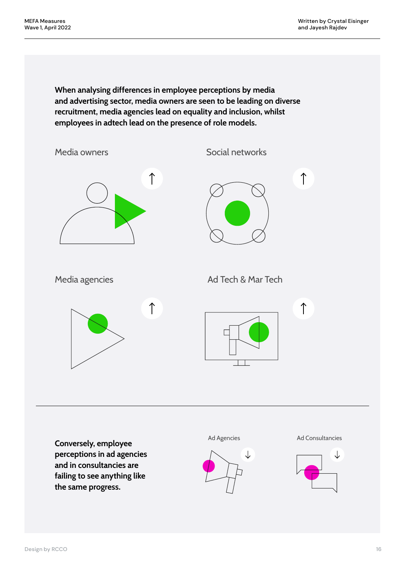**When analysing differences in employee perceptions by media and advertising sector, media owners are seen to be leading on diverse recruitment, media agencies lead on equality and inclusion, whilst employees in adtech lead on the presence of role models.**



**Conversely, employee perceptions in ad agencies and in consultancies are failing to see anything like the same progress.** 



Ad Agencies **Ad Consultancies** 

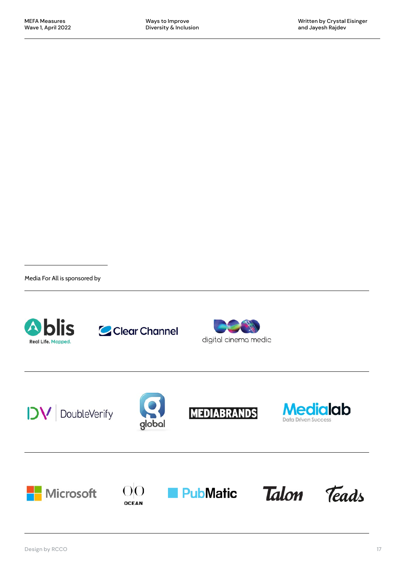Media For All is sponsored by